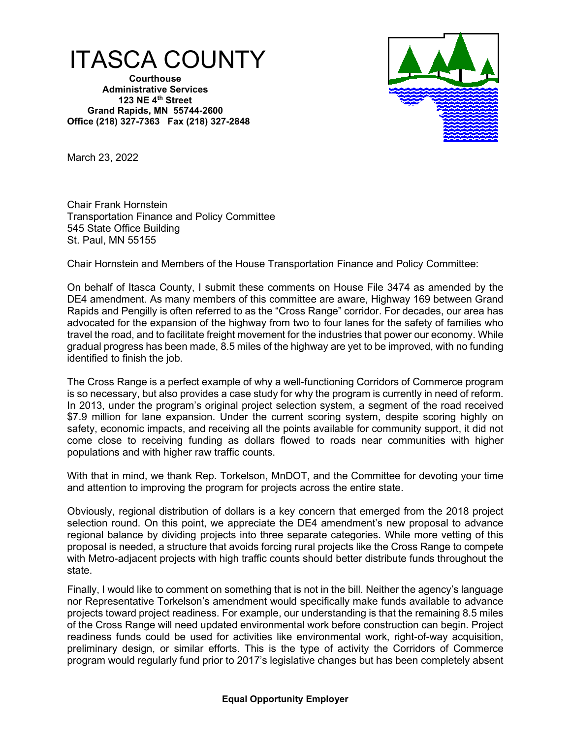

**Courthouse Administrative Services 123 NE 4th Street Grand Rapids, MN 55744-2600 Office (218) 327-7363 Fax (218) 327-2848**



March 23, 2022

Chair Frank Hornstein Transportation Finance and Policy Committee 545 State Office Building St. Paul, MN 55155

Chair Hornstein and Members of the House Transportation Finance and Policy Committee:

On behalf of Itasca County, I submit these comments on House File 3474 as amended by the DE4 amendment. As many members of this committee are aware, Highway 169 between Grand Rapids and Pengilly is often referred to as the "Cross Range" corridor. For decades, our area has advocated for the expansion of the highway from two to four lanes for the safety of families who travel the road, and to facilitate freight movement for the industries that power our economy. While gradual progress has been made, 8.5 miles of the highway are yet to be improved, with no funding identified to finish the job.

The Cross Range is a perfect example of why a well-functioning Corridors of Commerce program is so necessary, but also provides a case study for why the program is currently in need of reform. In 2013, under the program's original project selection system, a segment of the road received \$7.9 million for lane expansion. Under the current scoring system, despite scoring highly on safety, economic impacts, and receiving all the points available for community support, it did not come close to receiving funding as dollars flowed to roads near communities with higher populations and with higher raw traffic counts.

With that in mind, we thank Rep. Torkelson, MnDOT, and the Committee for devoting your time and attention to improving the program for projects across the entire state.

Obviously, regional distribution of dollars is a key concern that emerged from the 2018 project selection round. On this point, we appreciate the DE4 amendment's new proposal to advance regional balance by dividing projects into three separate categories. While more vetting of this proposal is needed, a structure that avoids forcing rural projects like the Cross Range to compete with Metro-adjacent projects with high traffic counts should better distribute funds throughout the state.

Finally, I would like to comment on something that is not in the bill. Neither the agency's language nor Representative Torkelson's amendment would specifically make funds available to advance projects toward project readiness. For example, our understanding is that the remaining 8.5 miles of the Cross Range will need updated environmental work before construction can begin. Project readiness funds could be used for activities like environmental work, right-of-way acquisition, preliminary design, or similar efforts. This is the type of activity the Corridors of Commerce program would regularly fund prior to 2017's legislative changes but has been completely absent